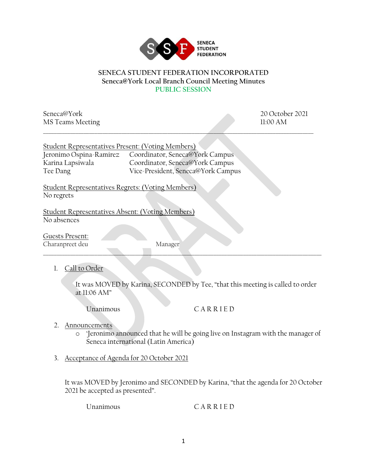

## **SENECA STUDENT FEDERATION INCORPORATED Seneca@York Local Branch Council Meeting Minutes PUBLIC SESSION**

\_\_\_\_\_\_\_\_\_\_\_\_\_\_\_\_\_\_\_\_\_\_\_\_\_\_\_\_\_\_\_\_\_\_\_\_\_\_\_\_\_\_\_\_\_\_\_\_\_\_\_\_\_\_\_\_\_\_\_\_\_\_\_\_\_\_\_\_\_\_\_\_\_\_\_\_\_\_\_\_\_\_\_\_\_\_\_\_\_\_\_\_\_\_\_\_\_\_\_\_

Seneca@York 20 October 2021 MS Teams Meeting 11:00 AM

| Student Representatives Present: (Voting Members) |                                                         |
|---------------------------------------------------|---------------------------------------------------------|
|                                                   | Jeronimo Ospina-Ramirez Coordinator, Seneca@York Campus |
| Karina Lapsiwala                                  | Coordinator, Seneca@York Campus                         |
| Tee Dang                                          | Vice-President, Seneca@York Campus                      |

Student Representatives Regrets: (Voting Members) No regrets

Student Representatives Absent: (Voting Members) No absences

Guests Present: Charanpreet deu Manager

\_\_\_\_\_\_\_\_\_\_\_\_\_\_\_\_\_\_\_\_\_\_\_\_\_\_\_\_\_\_\_\_\_\_\_\_\_\_\_\_\_\_\_\_\_\_\_\_\_\_\_\_\_\_\_\_\_\_\_\_\_\_\_\_\_\_\_\_\_\_\_\_\_\_\_\_\_\_\_\_\_\_\_\_\_\_\_\_\_\_\_\_\_\_\_\_\_\_\_\_\_\_\_

1. Call to Order

It was MOVED by Karina, SECONDED by Tee, "that this meeting is called to order at 11:06 AM"

Unanimous C A R R I E D

- 2. Announcements
	- o 'Jeronimo announced that he will be going live on Instagram with the manager of Seneca international (Latin America)
- 3. Acceptance of Agenda for 20 October 2021

It was MOVED by Jeronimo and SECONDED by Karina, "that the agenda for 20 October 2021 be accepted as presented".

Unanimous CARRIED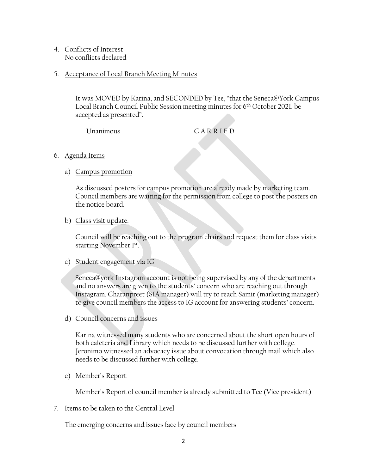- 4. Conflicts of Interest No conflicts declared
- 5. Acceptance of Local Branch Meeting Minutes

It was MOVED by Karina, and SECONDED by Tee, "that the Seneca@York Campus Local Branch Council Public Session meeting minutes for 6th October 2021, be accepted as presented".

Unanimous CARRIED

- 6. Agenda Items
	- a) Campus promotion

As discussed posters for campus promotion are already made by marketing team. Council members are waiting for the permission from college to post the posters on the notice board.

b) Class visit update.

Council will be reaching out to the program chairs and request them for class visits starting November 1st.

c) Student engagement via IG

 Seneca@york Instagram account is not being supervised by any of the departments and no answers are given to the students' concern who are reaching out through Instagram. Charanpreet (SIA manager) will try to reach Samir (marketing manager) to give council members the access to IG account for answering students' concern.

d) Council concerns and issues

Karina witnessed many students who are concerned about the short open hours of both cafeteria and Library which needs to be discussed further with college. Jeronimo witnessed an advocacy issue about convocation through mail which also needs to be discussed further with college.

e) Member's Report

Member's Report of council member is already submitted to Tee (Vice president)

7. Items to be taken to the Central Level

The emerging concerns and issues face by council members